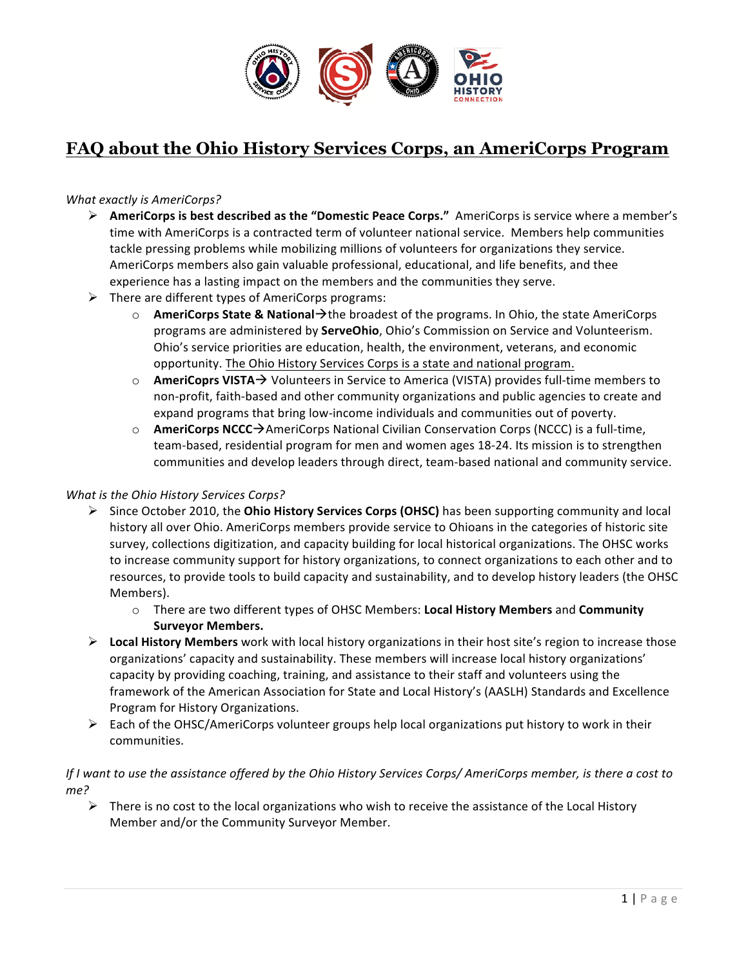

# **FAQ about the Ohio History Services Corps, an AmeriCorps Program**

#### *What exactly is AmeriCorps?*

- **EXECT AmeriCorps is best described as the "Domestic Peace Corps."** AmeriCorps is service where a member's time with AmeriCorps is a contracted term of volunteer national service. Members help communities tackle pressing problems while mobilizing millions of volunteers for organizations they service. AmeriCorps members also gain valuable professional, educational, and life benefits, and thee experience has a lasting impact on the members and the communities they serve.
- $\triangleright$  There are different types of AmeriCorps programs:
	- $\circ$  **AmeriCorps State & National** $\rightarrow$  the broadest of the programs. In Ohio, the state AmeriCorps programs are administered by **ServeOhio**, Ohio's Commission on Service and Volunteerism. Ohio's service priorities are education, health, the environment, veterans, and economic opportunity. The Ohio History Services Corps is a state and national program.
	- $\circ$  **AmeriCoprs VISTA** $\rightarrow$  Volunteers in Service to America (VISTA) provides full-time members to non-profit, faith-based and other community organizations and public agencies to create and expand programs that bring low-income individuals and communities out of poverty.
	- **AmeriCorps NCCC**→AmeriCorps National Civilian Conservation Corps (NCCC) is a full-time, team-based, residential program for men and women ages 18-24. Its mission is to strengthen communities and develop leaders through direct, team-based national and community service.

#### *What is the Ohio History Services Corps?*

- **►** Since October 2010, the **Ohio History Services Corps (OHSC)** has been supporting community and local history all over Ohio. AmeriCorps members provide service to Ohioans in the categories of historic site survey, collections digitization, and capacity building for local historical organizations. The OHSC works to increase community support for history organizations, to connect organizations to each other and to resources, to provide tools to build capacity and sustainability, and to develop history leaders (the OHSC Members).
	- $\circ$  There are two different types of OHSC Members: Local History Members and Community **Surveyor Members.**
- **►** Local History Members work with local history organizations in their host site's region to increase those organizations' capacity and sustainability. These members will increase local history organizations' capacity by providing coaching, training, and assistance to their staff and volunteers using the framework of the American Association for State and Local History's (AASLH) Standards and Excellence Program for History Organizations.
- $\triangleright$  Each of the OHSC/AmeriCorps volunteer groups help local organizations put history to work in their communities.

### *If* I want to use the assistance offered by the Ohio History Services Corps/ AmeriCorps member, is there a cost to *me?*

 $\triangleright$  There is no cost to the local organizations who wish to receive the assistance of the Local History Member and/or the Community Surveyor Member.